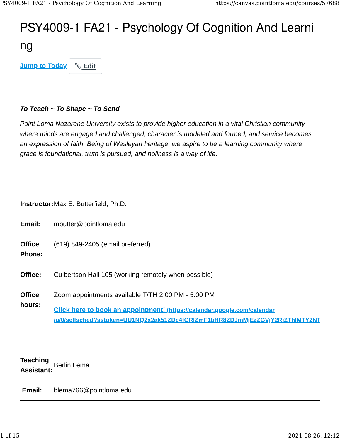# PSY4009-1 FA21 - Psychology Of Cognition And Learni

ng

**[Jump to Today](https://canvas.pointloma.edu/courses/57688#)** & [Edit](https://canvas.pointloma.edu/courses/57688#)

#### *To Teach ~ To Shape ~ To Send*

*Point Loma Nazarene University exists to provide higher education in a vital Christian community where minds are engaged and challenged, character is modeled and formed, and service becomes an expression of faith. Being of Wesleyan heritage, we aspire to be a learning community where grace is foundational, truth is pursued, and holiness is a way of life.*

|                                      | <b>Instructor:</b> Max E. Butterfield, Ph.D.                                                                                                                                                                    |
|--------------------------------------|-----------------------------------------------------------------------------------------------------------------------------------------------------------------------------------------------------------------|
| Email:                               | mbutter@pointloma.edu                                                                                                                                                                                           |
| <b>Office</b><br>Phone:              | (619) 849-2405 (email preferred)                                                                                                                                                                                |
| Office:                              | Culbertson Hall 105 (working remotely when possible)                                                                                                                                                            |
| <b>Office</b><br>hours:              | Zoom appointments available T/TH 2:00 PM - 5:00 PM<br>Click here to book an appointment! (https://calendar.google.com/calendar<br>/u/0/selfsched?sstoken=UU1NQ2x2ak51ZDc4fGRlZmF1bHR8ZDJmMjEzZGVjY2RiZThlMTY2NT |
| <b>Teaching</b><br><b>Assistant:</b> | Berlin Lema                                                                                                                                                                                                     |
| Email:                               | blema766@pointloma.edu                                                                                                                                                                                          |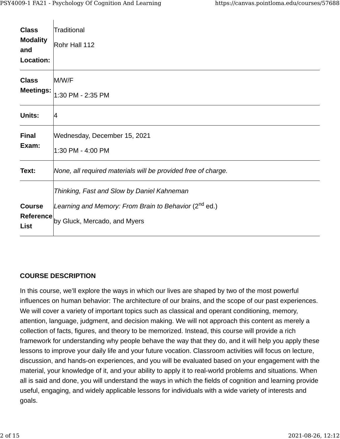$\mathbf{I}$ 

| <b>Class</b><br><b>Modality</b><br>and<br>Location: | <b>Traditional</b><br>Rohr Hall 112                               |
|-----------------------------------------------------|-------------------------------------------------------------------|
| <b>Class</b>                                        | M/W/F                                                             |
| <b>Meetings:</b>                                    | 1:30 PM - 2:35 PM                                                 |
| Units:                                              | 4                                                                 |
| <b>Final</b>                                        | Wednesday, December 15, 2021                                      |
| Exam:                                               | 1:30 PM - 4:00 PM                                                 |
| Text:                                               | None, all required materials will be provided free of charge.     |
| <b>Course</b>                                       | Thinking, Fast and Slow by Daniel Kahneman                        |
| Reference                                           | Learning and Memory: From Brain to Behavior (2 <sup>nd</sup> ed.) |
| <b>List</b>                                         | by Gluck, Mercado, and Myers                                      |

#### **COURSE DESCRIPTION**

In this course, we'll explore the ways in which our lives are shaped by two of the most powerful influences on human behavior: The architecture of our brains, and the scope of our past experiences. We will cover a variety of important topics such as classical and operant conditioning, memory, attention, language, judgment, and decision making. We will not approach this content as merely a collection of facts, figures, and theory to be memorized. Instead, this course will provide a rich framework for understanding why people behave the way that they do, and it will help you apply these lessons to improve your daily life and your future vocation. Classroom activities will focus on lecture, discussion, and hands-on experiences, and you will be evaluated based on your engagement with the material, your knowledge of it, and your ability to apply it to real-world problems and situations. When all is said and done, you will understand the ways in which the fields of cognition and learning provide useful, engaging, and widely applicable lessons for individuals with a wide variety of interests and goals.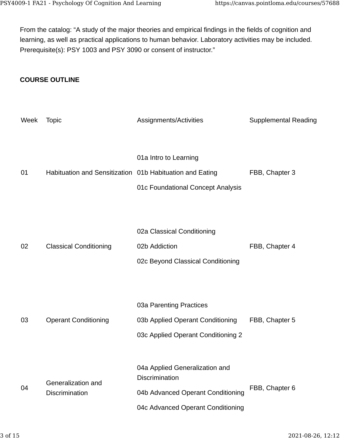From the catalog: "A study of the major theories and empirical findings in the fields of cognition and learning, as well as practical applications to human behavior. Laboratory activities may be included. Prerequisite(s): PSY 1003 and PSY 3090 or consent of instructor."

#### **COURSE OUTLINE**

| Week | <b>Topic</b>                                             | Assignments/Activities                                                                                                            | <b>Supplemental Reading</b> |
|------|----------------------------------------------------------|-----------------------------------------------------------------------------------------------------------------------------------|-----------------------------|
| 01   | Habituation and Sensitization 01b Habituation and Eating | 01a Intro to Learning<br>01c Foundational Concept Analysis                                                                        | FBB, Chapter 3              |
| 02   | <b>Classical Conditioning</b>                            | 02a Classical Conditioning<br>02b Addiction<br>02c Beyond Classical Conditioning                                                  | FBB, Chapter 4              |
| 03   | <b>Operant Conditioning</b>                              | 03a Parenting Practices<br>03b Applied Operant Conditioning<br>03c Applied Operant Conditioning 2                                 | FBB, Chapter 5              |
| 04   | Generalization and<br><b>Discrimination</b>              | 04a Applied Generalization and<br><b>Discrimination</b><br>04b Advanced Operant Conditioning<br>04c Advanced Operant Conditioning | FBB, Chapter 6              |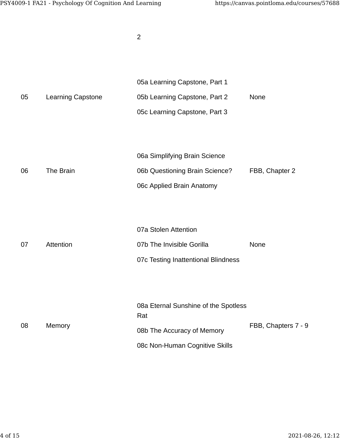|    |                   | $\overline{2}$                                                                                              |                     |
|----|-------------------|-------------------------------------------------------------------------------------------------------------|---------------------|
| 05 | Learning Capstone | 05a Learning Capstone, Part 1<br>05b Learning Capstone, Part 2<br>05c Learning Capstone, Part 3             | None                |
| 06 | The Brain         | 06a Simplifying Brain Science<br>06b Questioning Brain Science?<br>06c Applied Brain Anatomy                | FBB, Chapter 2      |
| 07 | Attention         | 07a Stolen Attention<br>07b The Invisible Gorilla<br>07c Testing Inattentional Blindness                    | None                |
| 08 | Memory            | 08a Eternal Sunshine of the Spotless<br>Rat<br>08b The Accuracy of Memory<br>08c Non-Human Cognitive Skills | FBB, Chapters 7 - 9 |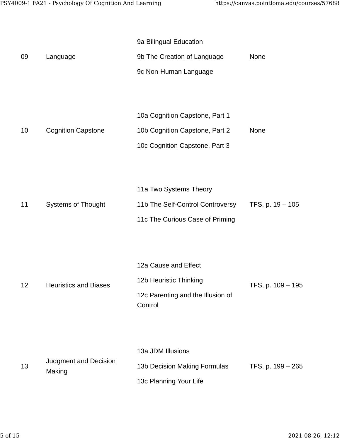| 09 | Language                        | 9a Bilingual Education<br>9b The Creation of Language<br>9c Non-Human Language                     | None              |
|----|---------------------------------|----------------------------------------------------------------------------------------------------|-------------------|
| 10 | <b>Cognition Capstone</b>       | 10a Cognition Capstone, Part 1<br>10b Cognition Capstone, Part 2<br>10c Cognition Capstone, Part 3 | None              |
| 11 | <b>Systems of Thought</b>       | 11a Two Systems Theory<br>11b The Self-Control Controversy<br>11c The Curious Case of Priming      | TFS, p. 19 - 105  |
| 12 | <b>Heuristics and Biases</b>    | 12a Cause and Effect<br>12b Heuristic Thinking<br>12c Parenting and the Illusion of<br>Control     | TFS, p. 109 - 195 |
| 13 | Judgment and Decision<br>Making | 13a JDM Illusions<br>13b Decision Making Formulas<br>13c Planning Your Life                        | TFS, p. 199 - 265 |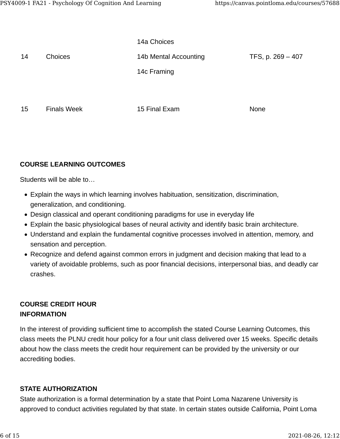|    |                    | 14a Choices           |                   |
|----|--------------------|-----------------------|-------------------|
| 14 | Choices            | 14b Mental Accounting | TFS, p. 269 - 407 |
|    |                    | 14c Framing           |                   |
|    |                    |                       |                   |
| 15 | <b>Finals Week</b> | 15 Final Exam         | None              |

## **COURSE LEARNING OUTCOMES**

Students will be able to…

- Explain the ways in which learning involves habituation, sensitization, discrimination, generalization, and conditioning.
- Design classical and operant conditioning paradigms for use in everyday life
- Explain the basic physiological bases of neural activity and identify basic brain architecture.
- Understand and explain the fundamental cognitive processes involved in attention, memory, and sensation and perception.
- Recognize and defend against common errors in judgment and decision making that lead to a variety of avoidable problems, such as poor financial decisions, interpersonal bias, and deadly car crashes.

## **COURSE CREDIT HOUR INFORMATION**

In the interest of providing sufficient time to accomplish the stated Course Learning Outcomes, this class meets the PLNU credit hour policy for a four unit class delivered over 15 weeks. Specific details about how the class meets the credit hour requirement can be provided by the university or our accrediting bodies.

## **STATE AUTHORIZATION**

State authorization is a formal determination by a state that Point Loma Nazarene University is approved to conduct activities regulated by that state. In certain states outside California, Point Loma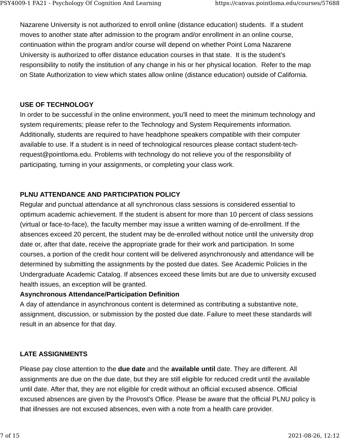Nazarene University is not authorized to enroll online (distance education) students. If a student moves to another state after admission to the program and/or enrollment in an online course, continuation within the program and/or course will depend on whether Point Loma Nazarene University is authorized to offer distance education courses in that state. It is the student's responsibility to notify the institution of any change in his or her physical location. Refer to the map on State Authorization to view which states allow online (distance education) outside of California.

### **USE OF TECHNOLOGY**

In order to be successful in the online environment, you'll need to meet the minimum technology and system requirements; please refer to the Technology and System Requirements information. Additionally, students are required to have headphone speakers compatible with their computer available to use. If a student is in need of technological resources please contact student-techrequest@pointloma.edu. Problems with technology do not relieve you of the responsibility of participating, turning in your assignments, or completing your class work.

## **PLNU ATTENDANCE AND PARTICIPATION POLICY**

Regular and punctual attendance at all synchronous class sessions is considered essential to optimum academic achievement. If the student is absent for more than 10 percent of class sessions (virtual or face-to-face), the faculty member may issue a written warning of de-enrollment. If the absences exceed 20 percent, the student may be de-enrolled without notice until the university drop date or, after that date, receive the appropriate grade for their work and participation. In some courses, a portion of the credit hour content will be delivered asynchronously and attendance will be determined by submitting the assignments by the posted due dates. See Academic Policies in the Undergraduate Academic Catalog. If absences exceed these limits but are due to university excused health issues, an exception will be granted.

#### **Asynchronous Attendance/Participation Definition**

A day of attendance in asynchronous content is determined as contributing a substantive note, assignment, discussion, or submission by the posted due date. Failure to meet these standards will result in an absence for that day.

## **LATE ASSIGNMENTS**

Please pay close attention to the **due date** and the **available until** date. They are different. All assignments are due on the due date, but they are still eligible for reduced credit until the available until date. After that, they are not eligible for credit without an official excused absence. Official excused absences are given by the Provost's Office. Please be aware that the official PLNU policy is that illnesses are not excused absences, even with a note from a health care provider.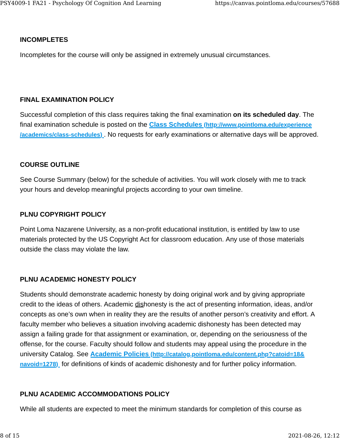#### **INCOMPLETES**

Incompletes for the course will only be assigned in extremely unusual circumstances.

#### **FINAL EXAMINATION POLICY**

Successful completion of this class requires taking the final examination **on its scheduled day**. The final examination schedule is posted on the **[Class Schedules \(http://www.pointloma.edu/experience](http://www.pointloma.edu/experience/academics/class-schedules) [/academics/class-schedules\)](http://www.pointloma.edu/experience/academics/class-schedules)** . No requests for early examinations or alternative days will be approved.

#### **COURSE OUTLINE**

See Course Summary (below) for the schedule of activities. You will work closely with me to track your hours and develop meaningful projects according to your own timeline.

#### **PLNU COPYRIGHT POLICY**

Point Loma Nazarene University, as a non-profit educational institution, is entitled by law to use materials protected by the US Copyright Act for classroom education. Any use of those materials outside the class may violate the law.

## **PLNU ACADEMIC HONESTY POLICY**

Students should demonstrate academic honesty by doing original work and by giving appropriate credit to the ideas of others. Academic dishonesty is the act of presenting information, ideas, and/or concepts as one's own when in reality they are the results of another person's creativity and effort. A faculty member who believes a situation involving academic dishonesty has been detected may assign a failing grade for that assignment or examination, or, depending on the seriousness of the offense, for the course. Faculty should follow and students may appeal using the procedure in the university Catalog. See **[Academic Policies \(http://catalog.pointloma.edu/content.php?catoid=18&](http://catalog.pointloma.edu/content.php?catoid=18&navoid=1278) [navoid=1278\)](http://catalog.pointloma.edu/content.php?catoid=18&navoid=1278)** for definitions of kinds of academic dishonesty and for further policy information.

## **PLNU ACADEMIC ACCOMMODATIONS POLICY**

While all students are expected to meet the minimum standards for completion of this course as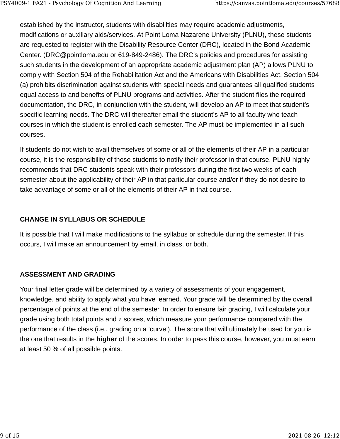established by the instructor, students with disabilities may require academic adjustments, modifications or auxiliary aids/services. At Point Loma Nazarene University (PLNU), these students are requested to register with the Disability Resource Center (DRC), located in the Bond Academic Center. (DRC@pointloma.edu or 619-849-2486). The DRC's policies and procedures for assisting such students in the development of an appropriate academic adjustment plan (AP) allows PLNU to comply with Section 504 of the Rehabilitation Act and the Americans with Disabilities Act. Section 504 (a) prohibits discrimination against students with special needs and guarantees all qualified students equal access to and benefits of PLNU programs and activities. After the student files the required documentation, the DRC, in conjunction with the student, will develop an AP to meet that student's specific learning needs. The DRC will thereafter email the student's AP to all faculty who teach courses in which the student is enrolled each semester. The AP must be implemented in all such courses.

If students do not wish to avail themselves of some or all of the elements of their AP in a particular course, it is the responsibility of those students to notify their professor in that course. PLNU highly recommends that DRC students speak with their professors during the first two weeks of each semester about the applicability of their AP in that particular course and/or if they do not desire to take advantage of some or all of the elements of their AP in that course.

## **CHANGE IN SYLLABUS OR SCHEDULE**

It is possible that I will make modifications to the syllabus or schedule during the semester. If this occurs, I will make an announcement by email, in class, or both.

## **ASSESSMENT AND GRADING**

Your final letter grade will be determined by a variety of assessments of your engagement, knowledge, and ability to apply what you have learned. Your grade will be determined by the overall percentage of points at the end of the semester. In order to ensure fair grading, I will calculate your grade using both total points and z scores, which measure your performance compared with the performance of the class (i.e., grading on a 'curve'). The score that will ultimately be used for you is the one that results in the **higher** of the scores. In order to pass this course, however, you must earn at least 50 % of all possible points.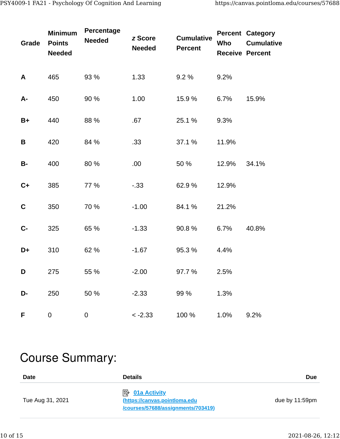| Grade       | Minimum<br><b>Points</b><br><b>Needed</b> | Percentage<br><b>Needed</b> | z Score<br><b>Needed</b> | <b>Cumulative</b><br><b>Percent</b> | Who   | <b>Percent Category</b><br><b>Cumulative</b><br><b>Receive Percent</b> |
|-------------|-------------------------------------------|-----------------------------|--------------------------|-------------------------------------|-------|------------------------------------------------------------------------|
| A           | 465                                       | 93 %                        | 1.33                     | 9.2 %                               | 9.2%  |                                                                        |
| A-          | 450                                       | 90 %                        | 1.00                     | 15.9 %                              | 6.7%  | 15.9%                                                                  |
| $B+$        | 440                                       | 88 %                        | .67                      | 25.1 %                              | 9.3%  |                                                                        |
| B           | 420                                       | 84 %                        | .33                      | 37.1 %                              | 11.9% |                                                                        |
| <b>B-</b>   | 400                                       | 80 %                        | .00                      | 50 %                                | 12.9% | 34.1%                                                                  |
| $C+$        | 385                                       | 77 %                        | $-.33$                   | 62.9%                               | 12.9% |                                                                        |
| $\mathbf C$ | 350                                       | 70 %                        | $-1.00$                  | 84.1 %                              | 21.2% |                                                                        |
| $C -$       | 325                                       | 65 %                        | $-1.33$                  | 90.8 %                              | 6.7%  | 40.8%                                                                  |
| D+          | 310                                       | 62 %                        | $-1.67$                  | 95.3 %                              | 4.4%  |                                                                        |
| D           | 275                                       | 55 %                        | $-2.00$                  | 97.7 %                              | 2.5%  |                                                                        |
| D-          | 250                                       | 50 %                        | $-2.33$                  | 99 %                                | 1.3%  |                                                                        |
| F           | 0                                         | 0                           | $< -2.33$                | 100 %                               | 1.0%  | 9.2%                                                                   |

# Course Summary:

| Date             | <b>Details</b>                                                                                   | <b>Due</b>        |
|------------------|--------------------------------------------------------------------------------------------------|-------------------|
| Tue Aug 31, 2021 | $\mathbb{R}$ 01a Activity<br>(https://canvas.pointloma.edu<br>/courses/57688/assignments/703419) | due by $11:59$ pm |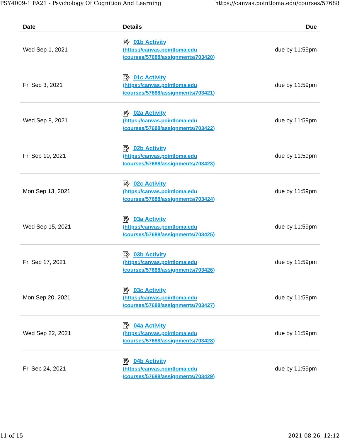| Date             | <b>Details</b>                                                                                             | <b>Due</b>     |
|------------------|------------------------------------------------------------------------------------------------------------|----------------|
| Wed Sep 1, 2021  | $\mathbb{R}$ 01b Activity<br>(https://canvas.pointloma.edu<br>/courses/57688/assignments/703420)           | due by 11:59pm |
| Fri Sep 3, 2021  | $\Rightarrow$ 01c Activity<br>(https://canvas.pointloma.edu<br>/courses/57688/assignments/703421)          | due by 11:59pm |
| Wed Sep 8, 2021  | $\mathbb{R}$ 02a Activity<br>(https://canvas.pointloma.edu<br>/courses/57688/assignments/703422)           | due by 11:59pm |
| Fri Sep 10, 2021 | <i><b>E</b></i> <u>02b Activity</u><br>(https://canvas.pointloma.edu<br>/courses/57688/assignments/703423) | due by 11:59pm |
| Mon Sep 13, 2021 | <i><b>B</b></i> <u>02c Activity</u><br>(https://canvas.pointloma.edu<br>/courses/57688/assignments/703424) | due by 11:59pm |
| Wed Sep 15, 2021 | <b>03a Activity</b><br>吟<br>(https://canvas.pointloma.edu<br>/courses/57688/assignments/703425)            | due by 11:59pm |
| Fri Sep 17, 2021 | 眕<br><b>03b Activity</b><br>(https://canvas.pointloma.edu<br>courses/57688/assignments/703426)             | due by 11:59pm |
| Mon Sep 20, 2021 | $\mathbb{R}$ 03c Activity<br>(https://canvas.pointloma.edu<br>/courses/57688/assignments/703427)           | due by 11:59pm |
| Wed Sep 22, 2021 | 吟<br><b>04a Activity</b><br>(https://canvas.pointloma.edu<br>/courses/57688/assignments/703428)            | due by 11:59pm |
| Fri Sep 24, 2021 | 04b Activity<br>駗<br>(https://canvas.pointloma.edu<br>/courses/57688/assignments/703429)                   | due by 11:59pm |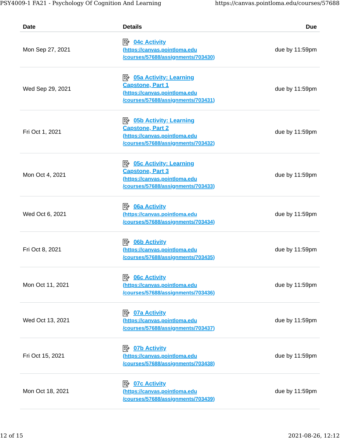| <b>Date</b>      | <b>Details</b>                                                                                                                          | <b>Due</b>     |
|------------------|-----------------------------------------------------------------------------------------------------------------------------------------|----------------|
| Mon Sep 27, 2021 | <b><i>E</i></b> <u>D4c Activity</u><br>(https://canvas.pointloma.edu<br>/courses/57688/assignments/703430)                              | due by 11:59pm |
| Wed Sep 29, 2021 | <u>≫ 05a Activity: Learning</u><br><b>Capstone, Part 1</b><br>(https://canvas.pointloma.edu<br>/courses/57688/assignments/703431)       | due by 11:59pm |
| Fri Oct 1, 2021  | <u>≫ 05b Activity: Learning</u><br><b>Capstone, Part 2</b><br>(https://canvas.pointloma.edu<br>/courses/57688/assignments/703432)       | due by 11:59pm |
| Mon Oct 4, 2021  | <u> <i>D</i>5c Activity: Learning</u><br><b>Capstone, Part 3</b><br>(https://canvas.pointloma.edu<br>/courses/57688/assignments/703433) | due by 11:59pm |
| Wed Oct 6, 2021  | <b>06a Activity</b><br>吟<br>(https://canvas.pointloma.edu<br>/courses/57688/assignments/703434)                                         | due by 11:59pm |
| Fri Oct 8, 2021  | 國<br><b>06b Activity</b><br>(https://canvas.pointloma.edu<br>/courses/57688/assignments/703435)                                         | due by 11:59pm |
| Mon Oct 11, 2021 | <b>06c Activity</b><br>眇<br>(https://canvas.pointloma.edu<br>/courses/57688/assignments/703436)                                         | due by 11:59pm |
| Wed Oct 13, 2021 | <i><b>B</b></i> 07a Activity<br>(https://canvas.pointloma.edu<br>/courses/57688/assignments/703437)                                     | due by 11:59pm |
| Fri Oct 15, 2021 | <b><i><u>② 07b Activity</u></i></b><br>(https://canvas.pointloma.edu<br>/courses/57688/assignments/703438)                              | due by 11:59pm |
| Mon Oct 18, 2021 | <b>07c Activity</b><br>吟<br>(https://canvas.pointloma.edu<br>/courses/57688/assignments/703439)                                         | due by 11:59pm |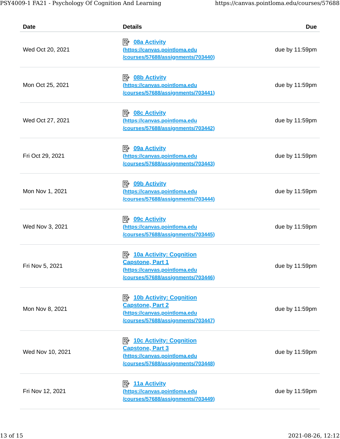| Date             | <b>Details</b>                                                                                                                        | <b>Due</b>     |
|------------------|---------------------------------------------------------------------------------------------------------------------------------------|----------------|
| Wed Oct 20, 2021 | <b>D8a Activity</b><br>(https://canvas.pointloma.edu<br>/courses/57688/assignments/703440)                                            | due by 11:59pm |
| Mon Oct 25, 2021 | $\Rightarrow$ 08b Activity<br>(https://canvas.pointloma.edu<br>/courses/57688/assignments/703441)                                     | due by 11:59pm |
| Wed Oct 27, 2021 | 吟<br><b>08c Activity</b><br>(https://canvas.pointloma.edu<br>/courses/57688/assignments/703442)                                       | due by 11:59pm |
| Fri Oct 29, 2021 | $\mathbb{R}$ 09a Activity<br>(https://canvas.pointloma.edu<br>/courses/57688/assignments/703443)                                      | due by 11:59pm |
| Mon Nov 1, 2021  | <u> 图 09b Activity</u><br>(https://canvas.pointloma.edu<br>/courses/57688/assignments/703444)                                         | due by 11:59pm |
| Wed Nov 3, 2021  | 吟<br><b>09c Activity</b><br>(https://canvas.pointloma.edu<br>/courses/57688/assignments/703445)                                       | due by 11:59pm |
| Fri Nov 5, 2021  | <b>10a Activity: Cognition</b><br>眕<br><b>Capstone, Part 1</b><br>(https://canvas.pointloma.edu<br>/courses/57688/assignments/703446) | due by 11:59pm |
| Mon Nov 8, 2021  | 歐<br><b>10b Activity: Cognition</b><br><b>Capstone, Part 2</b><br>(https://canvas.pointloma.edu<br>/courses/57688/assignments/703447) | due by 11:59pm |
| Wed Nov 10, 2021 | <b>10c Activity: Cognition</b><br>⊯<br><b>Capstone, Part 3</b><br>(https://canvas.pointloma.edu<br>/courses/57688/assignments/703448) | due by 11:59pm |
| Fri Nov 12, 2021 | 眕<br>11a Activity<br>(https://canvas.pointloma.edu<br>/courses/57688/assignments/703449)                                              | due by 11:59pm |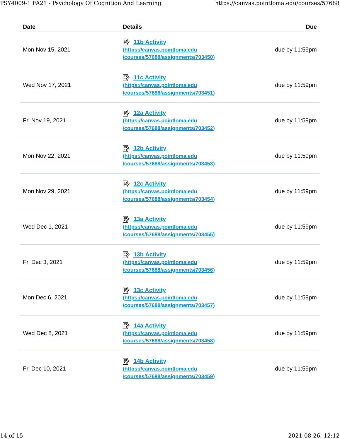| <b>Date</b>      | <b>Details</b>                                                                                    | <b>Due</b>     |
|------------------|---------------------------------------------------------------------------------------------------|----------------|
| Mon Nov 15, 2021 | $\Rightarrow$ 11b Activity<br>(https://canvas.pointloma.edu<br>/courses/57688/assignments/703450) | due by 11:59pm |
| Wed Nov 17, 2021 | $\mathbb{R}$ 11c Activity<br>(https://canvas.pointloma.edu<br>/courses/57688/assignments/703451)  | due by 11:59pm |
| Fri Nov 19, 2021 | <b>12a Activity</b><br>吟<br>(https://canvas.pointloma.edu<br>/courses/57688/assignments/703452)   | due by 11:59pm |
| Mon Nov 22, 2021 | $\mathbb{R}$ 12b Activity<br>(https://canvas.pointloma.edu<br>/courses/57688/assignments/703453)  | due by 11:59pm |
| Mon Nov 29, 2021 | $\mathbb{R}$ 12c Activity<br>(https://canvas.pointloma.edu<br>/courses/57688/assignments/703454)  | due by 11:59pm |
| Wed Dec 1, 2021  | $\Rightarrow$ 13a Activity<br>(https://canvas.pointloma.edu<br>/courses/57688/assignments/703455) | due by 11:59pm |
| Fri Dec 3, 2021  | <b>13b Activity</b><br>(https://canvas.pointloma.edu<br>/courses/57688/assignments/703456)        | due by 11:59pm |
| Mon Dec 6, 2021  | 歐<br><b>13c Activity</b><br>(https://canvas.pointloma.edu<br>/courses/57688/assignments/703457)   | due by 11:59pm |
| Wed Dec 8, 2021  | $\mathbb{R}$ 14a Activity<br>(https://canvas.pointloma.edu<br>/courses/57688/assignments/703458)  | due by 11:59pm |
| Fri Dec 10, 2021 | <b>14b Activity</b><br>吟<br>(https://canvas.pointloma.edu<br>/courses/57688/assignments/703459)   | due by 11:59pm |